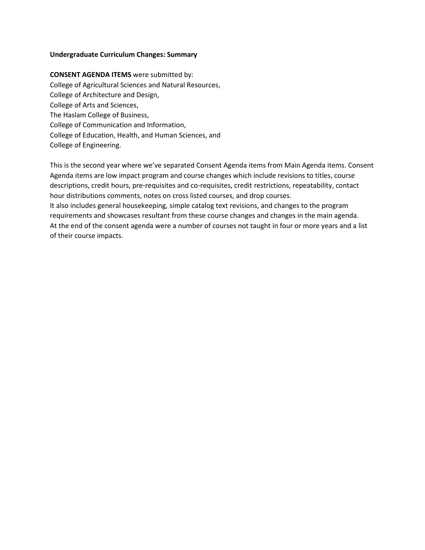## **Undergraduate Curriculum Changes: Summary**

### **CONSENT AGENDA ITEMS** were submitted by:

College of Agricultural Sciences and Natural Resources, College of Architecture and Design, College of Arts and Sciences, The Haslam College of Business, College of Communication and Information, College of Education, Health, and Human Sciences, and College of Engineering.

This is the second year where we've separated Consent Agenda items from Main Agenda items. Consent Agenda items are low impact program and course changes which include revisions to titles, course descriptions, credit hours, pre-requisites and co-requisites, credit restrictions, repeatability, contact hour distributions comments, notes on cross listed courses, and drop courses. It also includes general housekeeping, simple catalog text revisions, and changes to the program

requirements and showcases resultant from these course changes and changes in the main agenda. At the end of the consent agenda were a number of courses not taught in four or more years and a list of their course impacts.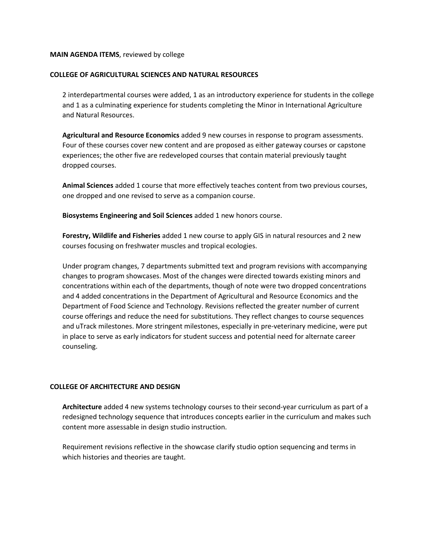### **MAIN AGENDA ITEMS**, reviewed by college

## **COLLEGE OF AGRICULTURAL SCIENCES AND NATURAL RESOURCES**

2 interdepartmental courses were added, 1 as an introductory experience for students in the college and 1 as a culminating experience for students completing the Minor in International Agriculture and Natural Resources.

**Agricultural and Resource Economics** added 9 new courses in response to program assessments. Four of these courses cover new content and are proposed as either gateway courses or capstone experiences; the other five are redeveloped courses that contain material previously taught dropped courses.

**Animal Sciences** added 1 course that more effectively teaches content from two previous courses, one dropped and one revised to serve as a companion course.

**Biosystems Engineering and Soil Sciences** added 1 new honors course.

**Forestry, Wildlife and Fisheries** added 1 new course to apply GIS in natural resources and 2 new courses focusing on freshwater muscles and tropical ecologies.

Under program changes, 7 departments submitted text and program revisions with accompanying changes to program showcases. Most of the changes were directed towards existing minors and concentrations within each of the departments, though of note were two dropped concentrations and 4 added concentrations in the Department of Agricultural and Resource Economics and the Department of Food Science and Technology. Revisions reflected the greater number of current course offerings and reduce the need for substitutions. They reflect changes to course sequences and uTrack milestones. More stringent milestones, especially in pre-veterinary medicine, were put in place to serve as early indicators for student success and potential need for alternate career counseling.

### **COLLEGE OF ARCHITECTURE AND DESIGN**

**Architecture** added 4 new systems technology courses to their second-year curriculum as part of a redesigned technology sequence that introduces concepts earlier in the curriculum and makes such content more assessable in design studio instruction.

Requirement revisions reflective in the showcase clarify studio option sequencing and terms in which histories and theories are taught.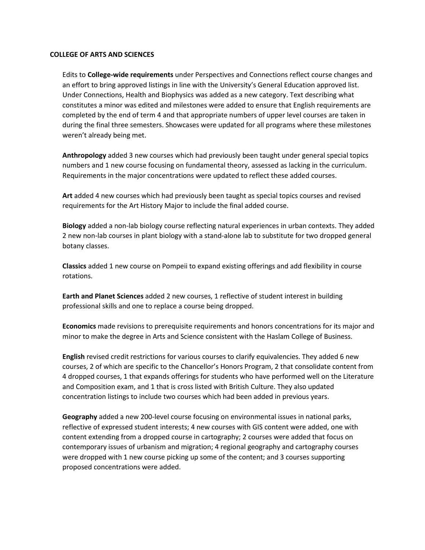### **COLLEGE OF ARTS AND SCIENCES**

Edits to **College-wide requirements** under Perspectives and Connections reflect course changes and an effort to bring approved listings in line with the University's General Education approved list. Under Connections, Health and Biophysics was added as a new category. Text describing what constitutes a minor was edited and milestones were added to ensure that English requirements are completed by the end of term 4 and that appropriate numbers of upper level courses are taken in during the final three semesters. Showcases were updated for all programs where these milestones weren't already being met.

**Anthropology** added 3 new courses which had previously been taught under general special topics numbers and 1 new course focusing on fundamental theory, assessed as lacking in the curriculum. Requirements in the major concentrations were updated to reflect these added courses.

**Art** added 4 new courses which had previously been taught as special topics courses and revised requirements for the Art History Major to include the final added course.

**Biology** added a non-lab biology course reflecting natural experiences in urban contexts. They added 2 new non-lab courses in plant biology with a stand-alone lab to substitute for two dropped general botany classes.

**Classics** added 1 new course on Pompeii to expand existing offerings and add flexibility in course rotations.

**Earth and Planet Sciences** added 2 new courses, 1 reflective of student interest in building professional skills and one to replace a course being dropped.

**Economics** made revisions to prerequisite requirements and honors concentrations for its major and minor to make the degree in Arts and Science consistent with the Haslam College of Business.

**English** revised credit restrictions for various courses to clarify equivalencies. They added 6 new courses, 2 of which are specific to the Chancellor's Honors Program, 2 that consolidate content from 4 dropped courses, 1 that expands offerings for students who have performed well on the Literature and Composition exam, and 1 that is cross listed with British Culture. They also updated concentration listings to include two courses which had been added in previous years.

**Geography** added a new 200-level course focusing on environmental issues in national parks, reflective of expressed student interests; 4 new courses with GIS content were added, one with content extending from a dropped course in cartography; 2 courses were added that focus on contemporary issues of urbanism and migration; 4 regional geography and cartography courses were dropped with 1 new course picking up some of the content; and 3 courses supporting proposed concentrations were added.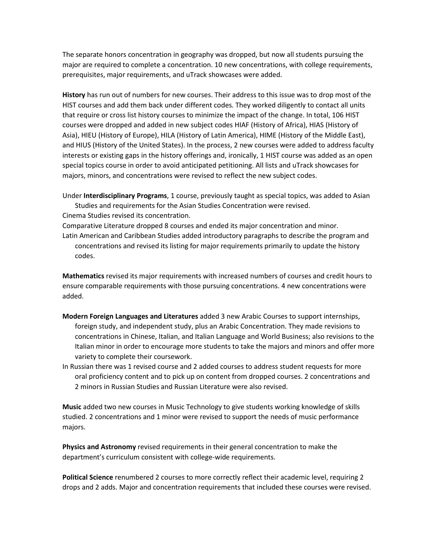The separate honors concentration in geography was dropped, but now all students pursuing the major are required to complete a concentration. 10 new concentrations, with college requirements, prerequisites, major requirements, and uTrack showcases were added.

**History** has run out of numbers for new courses. Their address to this issue was to drop most of the HIST courses and add them back under different codes. They worked diligently to contact all units that require or cross list history courses to minimize the impact of the change. In total, 106 HIST courses were dropped and added in new subject codes HIAF (History of Africa), HIAS (History of Asia), HIEU (History of Europe), HILA (History of Latin America), HIME (History of the Middle East), and HIUS (History of the United States). In the process, 2 new courses were added to address faculty interests or existing gaps in the history offerings and, ironically, 1 HIST course was added as an open special topics course in order to avoid anticipated petitioning. All lists and uTrack showcases for majors, minors, and concentrations were revised to reflect the new subject codes.

Under **Interdisciplinary Programs**, 1 course, previously taught as special topics, was added to Asian Studies and requirements for the Asian Studies Concentration were revised.

Cinema Studies revised its concentration.

Comparative Literature dropped 8 courses and ended its major concentration and minor.

Latin American and Caribbean Studies added introductory paragraphs to describe the program and concentrations and revised its listing for major requirements primarily to update the history codes.

**Mathematics** revised its major requirements with increased numbers of courses and credit hours to ensure comparable requirements with those pursuing concentrations. 4 new concentrations were added.

- **Modern Foreign Languages and Literatures** added 3 new Arabic Courses to support internships, foreign study, and independent study, plus an Arabic Concentration. They made revisions to concentrations in Chinese, Italian, and Italian Language and World Business; also revisions to the Italian minor in order to encourage more students to take the majors and minors and offer more variety to complete their coursework.
- In Russian there was 1 revised course and 2 added courses to address student requests for more oral proficiency content and to pick up on content from dropped courses. 2 concentrations and 2 minors in Russian Studies and Russian Literature were also revised.

**Music** added two new courses in Music Technology to give students working knowledge of skills studied. 2 concentrations and 1 minor were revised to support the needs of music performance majors.

**Physics and Astronomy** revised requirements in their general concentration to make the department's curriculum consistent with college-wide requirements.

**Political Science** renumbered 2 courses to more correctly reflect their academic level, requiring 2 drops and 2 adds. Major and concentration requirements that included these courses were revised.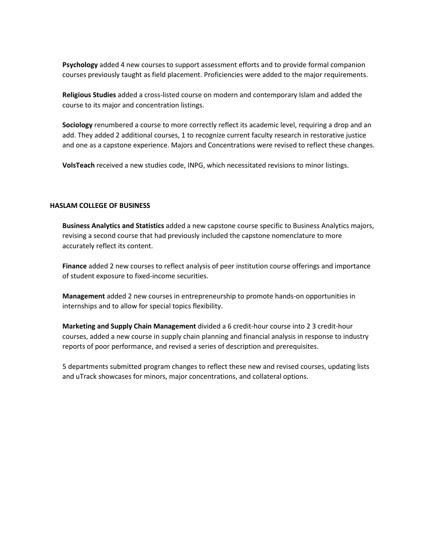**Psychology** added 4 new courses to support assessment efforts and to provide formal companion courses previously taught as field placement. Proficiencies were added to the major requirements.

**Religious Studies** added a cross-listed course on modern and contemporary Islam and added the course to its major and concentration listings.

**Sociology** renumbered a course to more correctly reflect its academic level, requiring a drop and an add. They added 2 additional courses, 1 to recognize current faculty research in restorative justice and one as a capstone experience. Majors and Concentrations were revised to reflect these changes.

**VolsTeach** received a new studies code, INPG, which necessitated revisions to minor listings.

## **HASLAM COLLEGE OF BUSINESS**

**Business Analytics and Statistics** added a new capstone course specific to Business Analytics majors, revising a second course that had previously included the capstone nomenclature to more accurately reflect its content.

**Finance** added 2 new courses to reflect analysis of peer institution course offerings and importance of student exposure to fixed-income securities.

**Management** added 2 new courses in entrepreneurship to promote hands-on opportunities in internships and to allow for special topics flexibility.

**Marketing and Supply Chain Management** divided a 6 credit-hour course into 2 3 credit-hour courses, added a new course in supply chain planning and financial analysis in response to industry reports of poor performance, and revised a series of description and prerequisites.

5 departments submitted program changes to reflect these new and revised courses, updating lists and uTrack showcases for minors, major concentrations, and collateral options.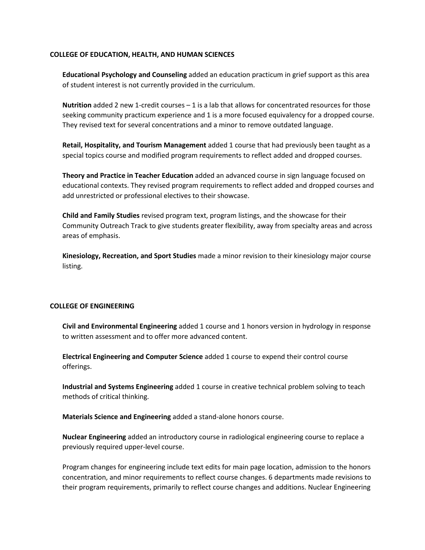## **COLLEGE OF EDUCATION, HEALTH, AND HUMAN SCIENCES**

**Educational Psychology and Counseling** added an education practicum in grief support as this area of student interest is not currently provided in the curriculum.

**Nutrition** added 2 new 1-credit courses – 1 is a lab that allows for concentrated resources for those seeking community practicum experience and 1 is a more focused equivalency for a dropped course. They revised text for several concentrations and a minor to remove outdated language.

**Retail, Hospitality, and Tourism Management** added 1 course that had previously been taught as a special topics course and modified program requirements to reflect added and dropped courses.

**Theory and Practice in Teacher Education** added an advanced course in sign language focused on educational contexts. They revised program requirements to reflect added and dropped courses and add unrestricted or professional electives to their showcase.

**Child and Family Studies** revised program text, program listings, and the showcase for their Community Outreach Track to give students greater flexibility, away from specialty areas and across areas of emphasis.

**Kinesiology, Recreation, and Sport Studies** made a minor revision to their kinesiology major course listing.

# **COLLEGE OF ENGINEERING**

**Civil and Environmental Engineering** added 1 course and 1 honors version in hydrology in response to written assessment and to offer more advanced content.

**Electrical Engineering and Computer Science** added 1 course to expend their control course offerings.

**Industrial and Systems Engineering** added 1 course in creative technical problem solving to teach methods of critical thinking.

**Materials Science and Engineering** added a stand-alone honors course.

**Nuclear Engineering** added an introductory course in radiological engineering course to replace a previously required upper-level course.

Program changes for engineering include text edits for main page location, admission to the honors concentration, and minor requirements to reflect course changes. 6 departments made revisions to their program requirements, primarily to reflect course changes and additions. Nuclear Engineering